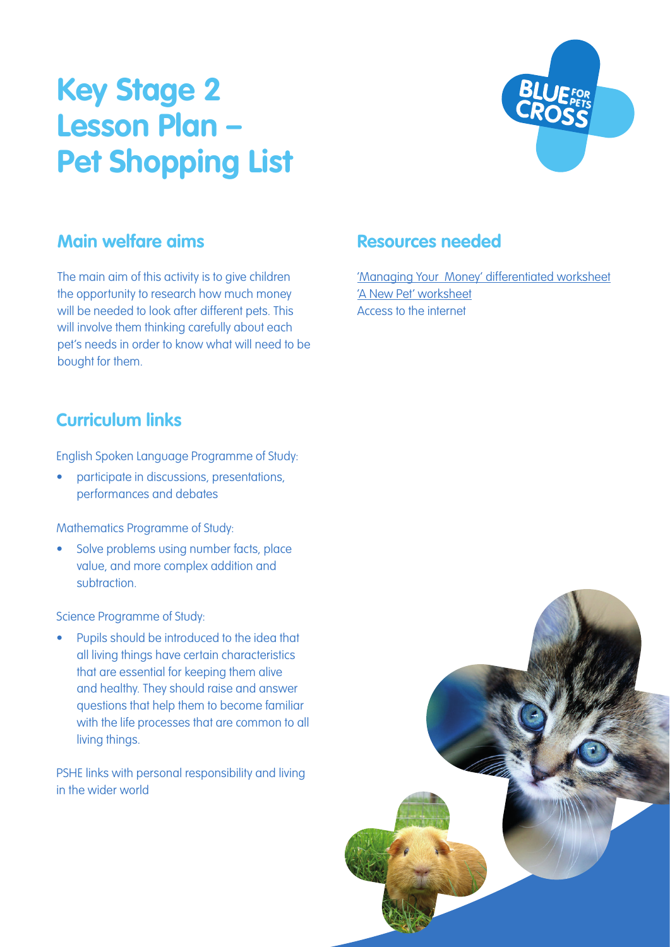# **Key Stage 2 Lesson Plan – Pet Shopping List**



#### **Main welfare aims**

The main aim of this activity is to give children the opportunity to research how much money will be needed to look after different pets. This will involve them thinking carefully about each pet's needs in order to know what will need to be bought for them.

# **Curriculum links**

English Spoken Language Programme of Study:

• participate in discussions, presentations, performances and debates

Mathematics Programme of Study:

• Solve problems using number facts, place value, and more complex addition and subtraction.

Science Programme of Study:

• Pupils should be introduced to the idea that all living things have certain characteristics that are essential for keeping them alive and healthy. They should raise and answer questions that help them to become familiar with the life processes that are common to all living things.

PSHE links with personal responsibility and living in the wider world

#### **Resources needed**

['Managing Your Money' differentiated worksheet](https://www.bluecross.org.uk/sites/default/files/d8/2021-10/Money%20management.pdf) ['A New Pet' worksheet](https://www.bluecross.org.uk/sites/default/files/d8/2021-10/New%20pet.pdf) Access to the internet